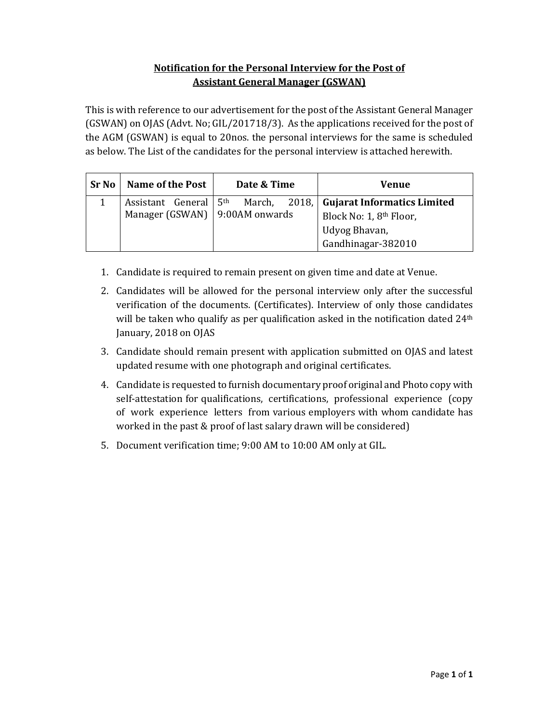## **Notification for the Personal Interview for the Post of Assistant General Manager (GSWAN)**

This is with reference to our advertisement for the post of the Assistant General Manager  $(GSWAN)$  on OJAS (Advt. No;  $GL/201718/3$ ). As the applications received for the post of the AGM (GSWAN) is equal to 20nos. the personal interviews for the same is scheduled as below. The List of the candidates for the personal interview is attached herewith.

| <b>Sr No</b> | Name of the Post                                            | Date & Time               |  | Venue                                                                                               |  |
|--------------|-------------------------------------------------------------|---------------------------|--|-----------------------------------------------------------------------------------------------------|--|
|              | Assistant General<br>Manager (GSWAN) $\vert$ 9:00AM onwards | 5 <sup>th</sup><br>March, |  | 2018, Gujarat Informatics Limited<br>Block No: 1, 8th Floor,<br>Udyog Bhavan,<br>Gandhinagar-382010 |  |

- 1. Candidate is required to remain present on given time and date at Venue.
- 2. Candidates will be allowed for the personal interview only after the successful verification of the documents. (Certificates). Interview of only those candidates will be taken who qualify as per qualification asked in the notification dated  $24<sup>th</sup>$ January, 2018 on OJAS
- 3. Candidate should remain present with application submitted on OJAS and latest updated resume with one photograph and original certificates.
- 4. Candidate is requested to furnish documentary proof original and Photo copy with self-attestation for qualifications, certifications, professional experience (copy of work experience letters from various employers with whom candidate has worked in the past  $&$  proof of last salary drawn will be considered)
- 5. Document verification time; 9:00 AM to 10:00 AM only at GIL.